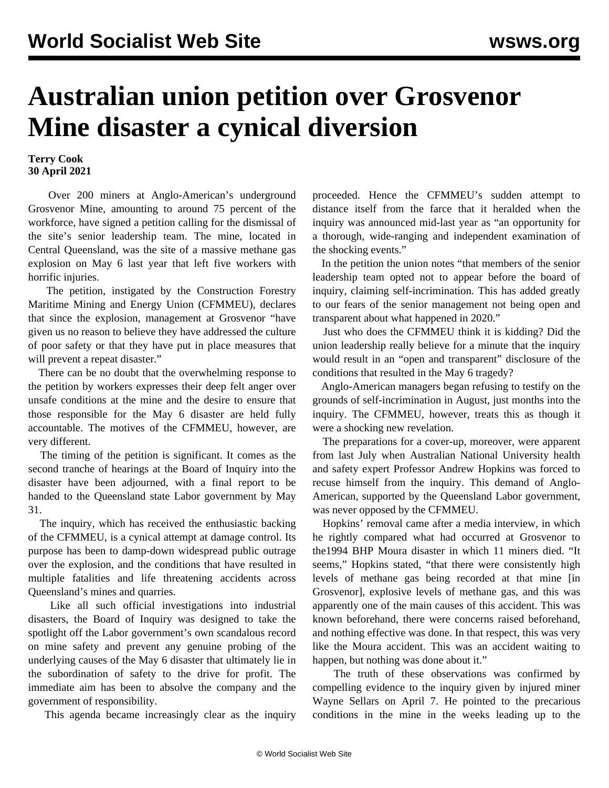## **Australian union petition over Grosvenor Mine disaster a cynical diversion**

## **Terry Cook 30 April 2021**

 Over 200 miners at Anglo-American's underground Grosvenor Mine, amounting to around 75 percent of the workforce, have signed a petition calling for the dismissal of the site's senior leadership team. The mine, located in Central Queensland, was the site of a massive methane gas explosion on May 6 last year that left five workers with horrific injuries.

 The petition, instigated by the Construction Forestry Maritime Mining and Energy Union (CFMMEU), declares that since the explosion, management at Grosvenor "have given us no reason to believe they have addressed the culture of poor safety or that they have put in place measures that will prevent a repeat disaster."

 There can be no doubt that the overwhelming response to the petition by workers expresses their deep felt anger over unsafe conditions at the mine and the desire to ensure that those responsible for the May 6 disaster are held fully accountable. The motives of the CFMMEU, however, are very different.

 The timing of the petition is significant. It comes as the second tranche of hearings at the Board of Inquiry into the disaster have been adjourned, with a final report to be handed to the Queensland state Labor government by May 31.

 The inquiry, which has received the enthusiastic backing of the CFMMEU, is a cynical attempt at damage control. Its purpose has been to damp-down widespread public outrage over the explosion, and the conditions that have resulted in multiple fatalities and life threatening accidents across Queensland's mines and quarries.

 Like all such official investigations into industrial disasters, the Board of Inquiry was designed to take the spotlight off the Labor government's own scandalous record on mine safety and prevent any genuine probing of the underlying causes of the May 6 disaster that ultimately lie in the subordination of safety to the drive for profit. The immediate aim has been to absolve the company and the government of responsibility.

This agenda became increasingly clear as the inquiry

proceeded. Hence the CFMMEU's sudden attempt to distance itself from the farce that it heralded when the inquiry was announced mid-last year as "an opportunity for a thorough, wide-ranging and independent examination of the shocking events."

 In the petition the union notes "that members of the senior leadership team opted not to appear before the board of inquiry, claiming self-incrimination. This has added greatly to our fears of the senior management not being open and transparent about what happened in 2020."

 Just who does the CFMMEU think it is kidding? Did the union leadership really believe for a minute that the inquiry would result in an "open and transparent" disclosure of the conditions that resulted in the May 6 tragedy?

 Anglo-American managers began refusing to testify on the grounds of self-incrimination in August, just months into the inquiry. The CFMMEU, however, treats this as though it were a shocking new revelation.

 The preparations for a cover-up, moreover, were apparent from last July when Australian National University health and safety expert Professor Andrew Hopkins was forced to recuse himself from the inquiry. This demand of Anglo-American, supported by the Queensland Labor government, was never opposed by the CFMMEU.

 Hopkins' removal came after a media interview, in which he rightly compared what had occurred at Grosvenor to the1994 BHP Moura disaster in which 11 miners died. "It seems," Hopkins stated, "that there were consistently high levels of methane gas being recorded at that mine [in Grosvenor], explosive levels of methane gas, and this was apparently one of the main causes of this accident. This was known beforehand, there were concerns raised beforehand, and nothing effective was done. In that respect, this was very like the Moura accident. This was an accident waiting to happen, but nothing was done about it."

 The truth of these observations was confirmed by compelling evidence to the inquiry given by injured miner Wayne Sellars on April 7. He pointed to the precarious conditions in the mine in the weeks leading up to the